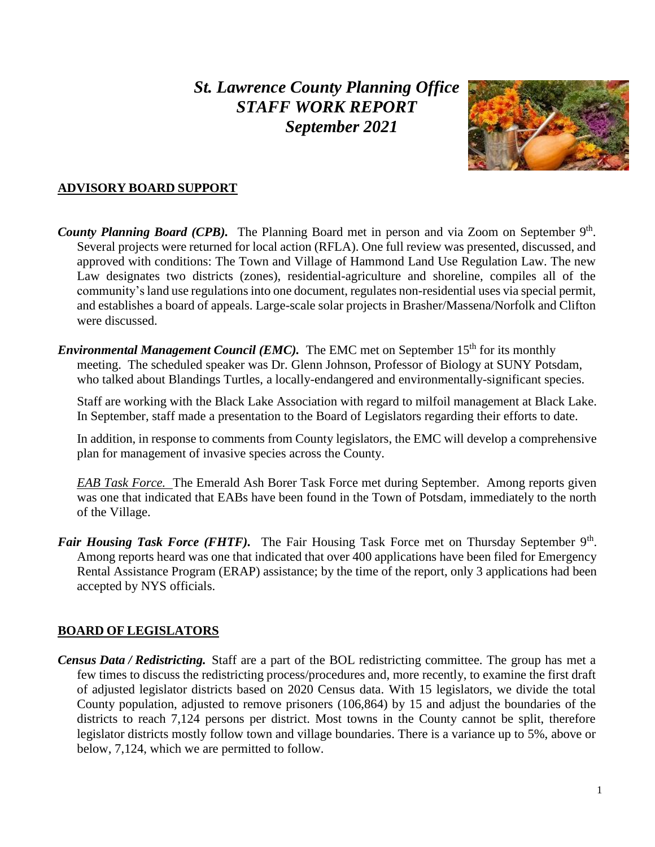# *St. Lawrence County Planning Office STAFF WORK REPORT September 2021*



## **ADVISORY BOARD SUPPORT**

- County Planning Board (CPB). The Planning Board met in person and via Zoom on September 9<sup>th</sup>. Several projects were returned for local action (RFLA). One full review was presented, discussed, and approved with conditions: The Town and Village of Hammond Land Use Regulation Law. The new Law designates two districts (zones), residential-agriculture and shoreline, compiles all of the community'sland use regulations into one document, regulates non-residential uses via special permit, and establishes a board of appeals. Large-scale solar projects in Brasher/Massena/Norfolk and Clifton were discussed.
- *Environmental Management Council (EMC)*. The EMC met on September 15<sup>th</sup> for its monthly meeting. The scheduled speaker was Dr. Glenn Johnson, Professor of Biology at SUNY Potsdam, who talked about Blandings Turtles, a locally-endangered and environmentally-significant species.

Staff are working with the Black Lake Association with regard to milfoil management at Black Lake. In September, staff made a presentation to the Board of Legislators regarding their efforts to date.

In addition, in response to comments from County legislators, the EMC will develop a comprehensive plan for management of invasive species across the County.

*EAB Task Force.* The Emerald Ash Borer Task Force met during September. Among reports given was one that indicated that EABs have been found in the Town of Potsdam, immediately to the north of the Village.

Fair Housing Task Force (FHTF). The Fair Housing Task Force met on Thursday September 9<sup>th</sup>. Among reports heard was one that indicated that over 400 applications have been filed for Emergency Rental Assistance Program (ERAP) assistance; by the time of the report, only 3 applications had been accepted by NYS officials.

## **BOARD OF LEGISLATORS**

*Census Data / Redistricting.* Staff are a part of the BOL redistricting committee. The group has met a few times to discuss the redistricting process/procedures and, more recently, to examine the first draft of adjusted legislator districts based on 2020 Census data. With 15 legislators, we divide the total County population, adjusted to remove prisoners (106,864) by 15 and adjust the boundaries of the districts to reach 7,124 persons per district. Most towns in the County cannot be split, therefore legislator districts mostly follow town and village boundaries. There is a variance up to 5%, above or below, 7,124, which we are permitted to follow.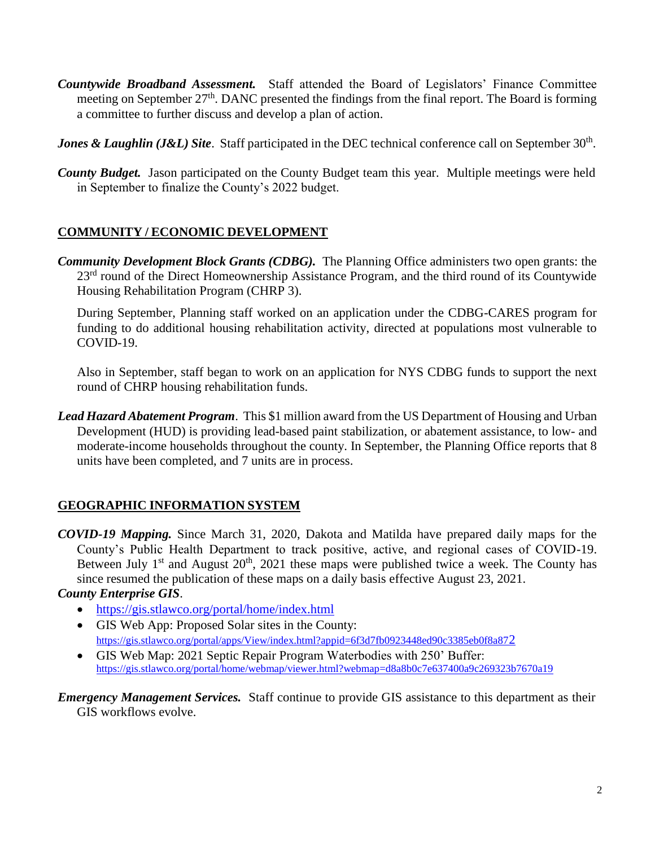- *Countywide Broadband Assessment.* Staff attended the Board of Legislators' Finance Committee meeting on September  $27<sup>th</sup>$ . DANC presented the findings from the final report. The Board is forming a committee to further discuss and develop a plan of action.
- **Jones & Laughlin (J&L) Site.** Staff participated in the DEC technical conference call on September 30<sup>th</sup>.
- *County Budget.* Jason participated on the County Budget team this year. Multiple meetings were held in September to finalize the County's 2022 budget.

## **COMMUNITY / ECONOMIC DEVELOPMENT**

*Community Development Block Grants (CDBG).* The Planning Office administers two open grants: the 23<sup>rd</sup> round of the Direct Homeownership Assistance Program, and the third round of its Countywide Housing Rehabilitation Program (CHRP 3).

During September, Planning staff worked on an application under the CDBG-CARES program for funding to do additional housing rehabilitation activity, directed at populations most vulnerable to COVID-19.

Also in September, staff began to work on an application for NYS CDBG funds to support the next round of CHRP housing rehabilitation funds.

*Lead Hazard Abatement Program*. This \$1 million award from the US Department of Housing and Urban Development (HUD) is providing lead-based paint stabilization, or abatement assistance, to low- and moderate-income households throughout the county. In September, the Planning Office reports that 8 units have been completed, and 7 units are in process.

# **GEOGRAPHIC INFORMATION SYSTEM**

*COVID-19 Mapping.* Since March 31, 2020, Dakota and Matilda have prepared daily maps for the County's Public Health Department to track positive, active, and regional cases of COVID-19. Between July 1<sup>st</sup> and August 20<sup>th</sup>, 2021 these maps were published twice a week. The County has since resumed the publication of these maps on a daily basis effective August 23, 2021.

## *County Enterprise GIS*.

- <https://gis.stlawco.org/portal/home/index.html>
- GIS Web App: Proposed Solar sites in the County: [https://gis.stlawco.org/portal/apps/View/index.html?appid=6f3d7fb0923448ed90c3385eb0f8a87](https://gis.stlawco.org/portal/apps/View/index.html?appid=6f3d7fb0923448ed90c3385eb0f8a872)2
- GIS Web Map: 2021 Septic Repair Program Waterbodies with 250' Buffer: <https://gis.stlawco.org/portal/home/webmap/viewer.html?webmap=d8a8b0c7e637400a9c269323b7670a19>

*Emergency Management Services.* Staff continue to provide GIS assistance to this department as their GIS workflows evolve.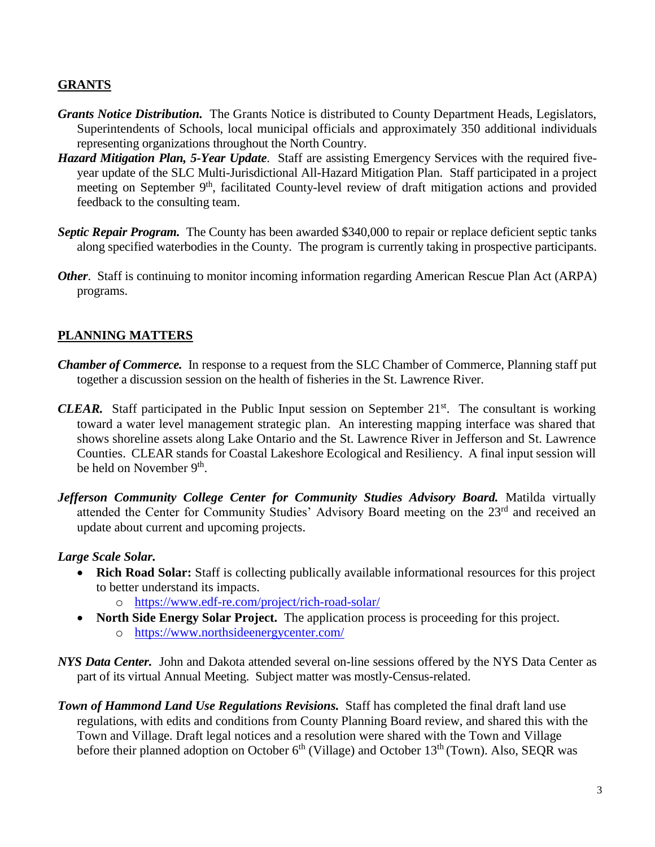#### **GRANTS**

- *Grants Notice Distribution.* The Grants Notice is distributed to County Department Heads, Legislators, Superintendents of Schools, local municipal officials and approximately 350 additional individuals representing organizations throughout the North Country.
- *Hazard Mitigation Plan, 5-Year Update*. Staff are assisting Emergency Services with the required fiveyear update of the SLC Multi-Jurisdictional All-Hazard Mitigation Plan. Staff participated in a project meeting on September 9<sup>th</sup>, facilitated County-level review of draft mitigation actions and provided feedback to the consulting team.
- *Septic Repair Program.* The County has been awarded \$340,000 to repair or replace deficient septic tanks along specified waterbodies in the County. The program is currently taking in prospective participants.
- *Other.* Staff is continuing to monitor incoming information regarding American Rescue Plan Act (ARPA) programs.

#### **PLANNING MATTERS**

- *Chamber of Commerce.* In response to a request from the SLC Chamber of Commerce, Planning staff put together a discussion session on the health of fisheries in the St. Lawrence River.
- *CLEAR.* Staff participated in the Public Input session on September 21<sup>st</sup>. The consultant is working toward a water level management strategic plan. An interesting mapping interface was shared that shows shoreline assets along Lake Ontario and the St. Lawrence River in Jefferson and St. Lawrence Counties. CLEAR stands for Coastal Lakeshore Ecological and Resiliency. A final input session will be held on November 9<sup>th</sup>.
- Jefferson Community College Center for Community Studies Advisory Board. Matilda virtually attended the Center for Community Studies' Advisory Board meeting on the 23<sup>rd</sup> and received an update about current and upcoming projects.

#### *Large Scale Solar.*

- **Rich Road Solar:** Staff is collecting publically available informational resources for this project to better understand its impacts.
	- o <https://www.edf-re.com/project/rich-road-solar/>
- North Side Energy Solar Project. The application process is proceeding for this project. o <https://www.northsideenergycenter.com/>
- *NYS Data Center.* John and Dakota attended several on-line sessions offered by the NYS Data Center as part of its virtual Annual Meeting. Subject matter was mostly-Census-related.
- *Town of Hammond Land Use Regulations Revisions.* Staff has completed the final draft land use regulations, with edits and conditions from County Planning Board review, and shared this with the Town and Village. Draft legal notices and a resolution were shared with the Town and Village before their planned adoption on October  $6<sup>th</sup>$  (Village) and October  $13<sup>th</sup>$  (Town). Also, SEQR was